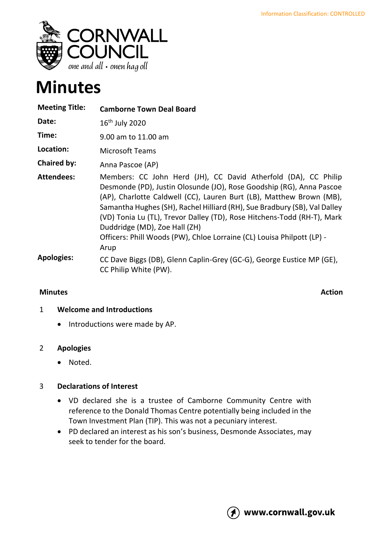

# **Minutes**

| <b>Meeting Title:</b> | <b>Camborne Town Deal Board</b>                                                                                                                                                                                                                                                                                                                                                                                                                                                           |
|-----------------------|-------------------------------------------------------------------------------------------------------------------------------------------------------------------------------------------------------------------------------------------------------------------------------------------------------------------------------------------------------------------------------------------------------------------------------------------------------------------------------------------|
| Date:                 | $16th$ July 2020                                                                                                                                                                                                                                                                                                                                                                                                                                                                          |
| Time:                 | 9.00 am to 11.00 am                                                                                                                                                                                                                                                                                                                                                                                                                                                                       |
| Location:             | <b>Microsoft Teams</b>                                                                                                                                                                                                                                                                                                                                                                                                                                                                    |
| <b>Chaired by:</b>    | Anna Pascoe (AP)                                                                                                                                                                                                                                                                                                                                                                                                                                                                          |
| <b>Attendees:</b>     | Members: CC John Herd (JH), CC David Atherfold (DA), CC Philip<br>Desmonde (PD), Justin Olosunde (JO), Rose Goodship (RG), Anna Pascoe<br>(AP), Charlotte Caldwell (CC), Lauren Burt (LB), Matthew Brown (MB),<br>Samantha Hughes (SH), Rachel Hilliard (RH), Sue Bradbury (SB), Val Dalley<br>(VD) Tonia Lu (TL), Trevor Dalley (TD), Rose Hitchens-Todd (RH-T), Mark<br>Duddridge (MD), Zoe Hall (ZH)<br>Officers: Phill Woods (PW), Chloe Lorraine (CL) Louisa Philpott (LP) -<br>Arup |
| <b>Apologies:</b>     | CC Dave Biggs (DB), Glenn Caplin-Grey (GC-G), George Eustice MP (GE),<br>CC Philip White (PW).                                                                                                                                                                                                                                                                                                                                                                                            |

## **Minutes** Action

# 1 **Welcome and Introductions**

• Introductions were made by AP.

# 2 **Apologies**

• Noted.

# 3 **Declarations of Interest**

- VD declared she is a trustee of Camborne Community Centre with reference to the Donald Thomas Centre potentially being included in the Town Investment Plan (TIP). This was not a pecuniary interest.
- PD declared an interest as his son's business, Desmonde Associates, may seek to tender for the board.

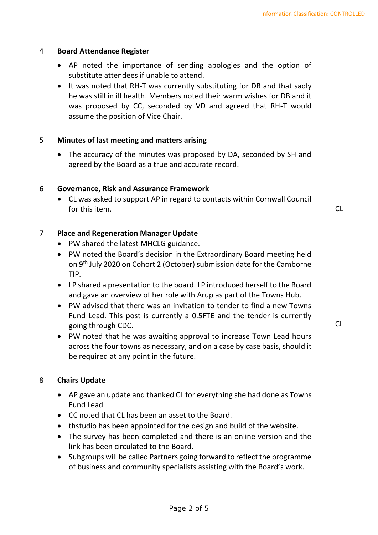#### 4 **Board Attendance Register**

- AP noted the importance of sending apologies and the option of substitute attendees if unable to attend.
- It was noted that RH-T was currently substituting for DB and that sadly he was still in ill health. Members noted their warm wishes for DB and it was proposed by CC, seconded by VD and agreed that RH-T would assume the position of Vice Chair.

### 5 **Minutes of last meeting and matters arising**

• The accuracy of the minutes was proposed by DA, seconded by SH and agreed by the Board as a true and accurate record.

### 6 **Governance, Risk and Assurance Framework**

• CL was asked to support AP in regard to contacts within Cornwall Council for this item. CL the contract of the contract of the contract of the contract of the contract of the contract of the contract of the contract of the contract of the contract of the contract of the contract of the contract

 $CL$ 

### 7 **Place and Regeneration Manager Update**

- PW shared the latest MHCLG guidance.
- PW noted the Board's decision in the Extraordinary Board meeting held on 9th July 2020 on Cohort 2 (October) submission date for the Camborne TIP.
- LP shared a presentation to the board. LP introduced herself to the Board and gave an overview of her role with Arup as part of the Towns Hub.
- PW advised that there was an invitation to tender to find a new Towns Fund Lead. This post is currently a 0.5FTE and the tender is currently going through CDC.
- PW noted that he was awaiting approval to increase Town Lead hours across the four towns as necessary, and on a case by case basis, should it be required at any point in the future.

8 **Chairs Update**

- AP gave an update and thanked CL for everything she had done as Towns Fund Lead
- CC noted that CL has been an asset to the Board.
- thstudio has been appointed for the design and build of the website.
- The survey has been completed and there is an online version and the link has been circulated to the Board.
- Subgroups will be called Partners going forward to reflect the programme of business and community specialists assisting with the Board's work.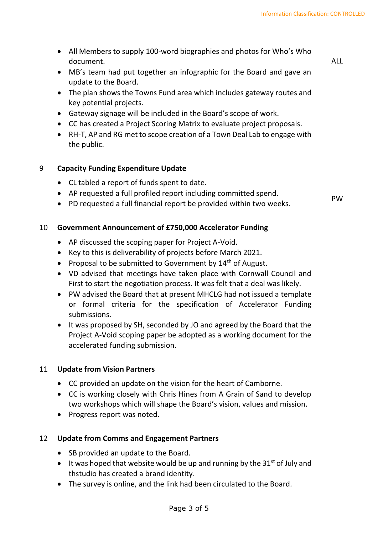• All Members to supply 100-word biographies and photos for Who's Who document.

ALL

- MB's team had put together an infographic for the Board and gave an update to the Board.
- The plan shows the Towns Fund area which includes gateway routes and key potential projects.
- Gateway signage will be included in the Board's scope of work.
- CC has created a Project Scoring Matrix to evaluate project proposals.
- RH-T, AP and RG met to scope creation of a Town Deal Lab to engage with the public.

## 9 **Capacity Funding Expenditure Update**

- CL tabled a report of funds spent to date.
- AP requested a full profiled report including committed spend.
- A requested a full financial report including committed spend.<br>• PD requested a full financial report be provided within two weeks.

## 10 **Government Announcement of £750,000 Accelerator Funding**

- AP discussed the scoping paper for Project A-Void.
- Key to this is deliverability of projects before March 2021.
- Proposal to be submitted to Government by  $14<sup>th</sup>$  of August.
- VD advised that meetings have taken place with Cornwall Council and First to start the negotiation process. It was felt that a deal was likely.
- PW advised the Board that at present MHCLG had not issued a template or formal criteria for the specification of Accelerator Funding submissions.
- It was proposed by SH, seconded by JO and agreed by the Board that the Project A-Void scoping paper be adopted as a working document for the accelerated funding submission.

## 11 **Update from Vision Partners**

- CC provided an update on the vision for the heart of Camborne.
- CC is working closely with Chris Hines from A Grain of Sand to develop two workshops which will shape the Board's vision, values and mission.
- Progress report was noted.

## 12 **Update from Comms and Engagement Partners**

- SB provided an update to the Board.
- It was hoped that website would be up and running by the  $31^{st}$  of July and thstudio has created a brand identity.
- The survey is online, and the link had been circulated to the Board.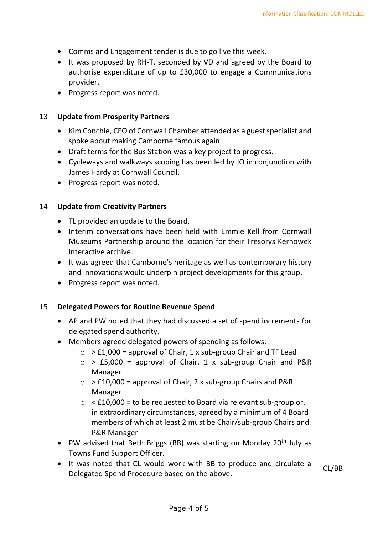- Comms and Engagement tender is due to go live this week.
- It was proposed by RH-T, seconded by VD and agreed by the Board to authorise expenditure of up to £30,000 to engage a Communications provider.
- Progress report was noted.

## 13 **Update from Prosperity Partners**

- Kim Conchie, CEO of Cornwall Chamber attended as a guest specialist and spoke about making Camborne famous again.
- Draft terms for the Bus Station was a key project to progress.
- Cycleways and walkways scoping has been led by JO in conjunction with James Hardy at Cornwall Council.
- Progress report was noted.

## 14 **Update from Creativity Partners**

- TL provided an update to the Board.
- Interim conversations have been held with Emmie Kell from Cornwall Museums Partnership around the location for their Tresorys Kernowek interactive archive.
- It was agreed that Camborne's heritage as well as contemporary history and innovations would underpin project developments for this group.
- Progress report was noted.

## 15 **Delegated Powers for Routine Revenue Spend**

- AP and PW noted that they had discussed a set of spend increments for delegated spend authority.
- Members agreed delegated powers of spending as follows:
	- $\circ$  > £1,000 = approval of Chair, 1 x sub-group Chair and TF Lead
	- $\circ$  > £5,000 = approval of Chair, 1 x sub-group Chair and P&R Manager
	- $\circ$  > £10,000 = approval of Chair, 2 x sub-group Chairs and P&R Manager
	- $\circ$  < £10,000 = to be requested to Board via relevant sub-group or, in extraordinary circumstances, agreed by a minimum of 4 Board members of which at least 2 must be Chair/sub-group Chairs and P&R Manager
- PW advised that Beth Briggs (BB) was starting on Monday 20<sup>th</sup> July as Towns Fund Support Officer.
- It was noted that CL would work with BB to produce and circulate a Delegated Spend Procedure based on the above. CL/BB